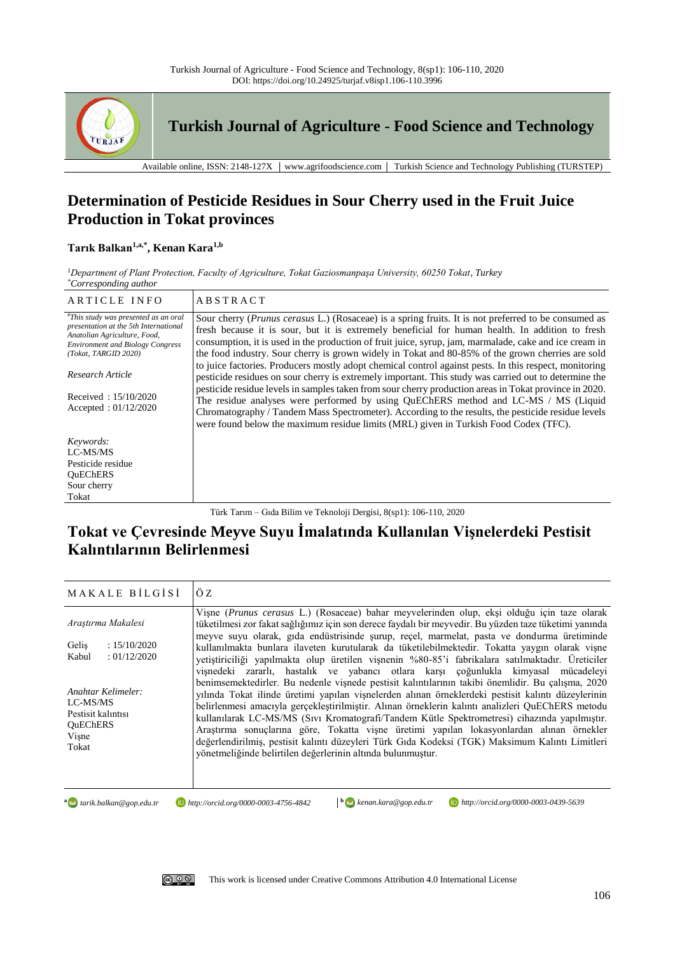

**Turkish Journal of Agriculture - Food Science and Technology**

Available online, ISSN: 2148-127X │ www.agrifoodscience.com │ Turkish Science and Technology Publishing (TURSTEP)

## **Determination of Pesticide Residues in Sour Cherry used in the Fruit Juice Production in Tokat provinces**

## **Tarık Balkan1,a,\* , Kenan Kara1,b**

*<sup>1</sup>Department of Plant Protection, Faculty of Agriculture, Tokat Gaziosmanpaşa University, 60250 Tokat, Turkey \*Corresponding author*

| ARTICLE INFO                                                                                                                                                                                                                   | <b>ABSTRACT</b>                                                                                                                                                                                                                                                                                                                                                                                                                                                                                                                                                                                                                                                                                                                                                                                                                                     |
|--------------------------------------------------------------------------------------------------------------------------------------------------------------------------------------------------------------------------------|-----------------------------------------------------------------------------------------------------------------------------------------------------------------------------------------------------------------------------------------------------------------------------------------------------------------------------------------------------------------------------------------------------------------------------------------------------------------------------------------------------------------------------------------------------------------------------------------------------------------------------------------------------------------------------------------------------------------------------------------------------------------------------------------------------------------------------------------------------|
| "This study was presented as an oral<br>presentation at the 5th International<br>Anatolian Agriculture, Food,<br><b>Environment and Biology Congress</b><br>(Tokat, TARGID 2020)<br>Research Article<br>Received: $15/10/2020$ | Sour cherry ( <i>Prunus cerasus L.</i> ) (Rosaceae) is a spring fruits. It is not preferred to be consumed as<br>fresh because it is sour, but it is extremely beneficial for human health. In addition to fresh<br>consumption, it is used in the production of fruit juice, syrup, jam, marmalade, cake and ice cream in<br>the food industry. Sour cherry is grown widely in Tokat and 80-85% of the grown cherries are sold<br>to juice factories. Producers mostly adopt chemical control against pests. In this respect, monitoring<br>pesticide residues on sour cherry is extremely important. This study was carried out to determine the<br>pesticide residue levels in samples taken from sour cherry production areas in Tokat province in 2020.<br>The residue analyses were performed by using QuEChERS method and LC-MS / MS (Liquid |
| Accepted: $01/12/2020$                                                                                                                                                                                                         | Chromatography / Tandem Mass Spectrometer). According to the results, the pesticide residue levels<br>were found below the maximum residue limits (MRL) given in Turkish Food Codex (TFC).                                                                                                                                                                                                                                                                                                                                                                                                                                                                                                                                                                                                                                                          |
| Keywords:                                                                                                                                                                                                                      |                                                                                                                                                                                                                                                                                                                                                                                                                                                                                                                                                                                                                                                                                                                                                                                                                                                     |
| LC-MS/MS                                                                                                                                                                                                                       |                                                                                                                                                                                                                                                                                                                                                                                                                                                                                                                                                                                                                                                                                                                                                                                                                                                     |
| Pesticide residue                                                                                                                                                                                                              |                                                                                                                                                                                                                                                                                                                                                                                                                                                                                                                                                                                                                                                                                                                                                                                                                                                     |
| OuEChERS                                                                                                                                                                                                                       |                                                                                                                                                                                                                                                                                                                                                                                                                                                                                                                                                                                                                                                                                                                                                                                                                                                     |
| Sour cherry                                                                                                                                                                                                                    |                                                                                                                                                                                                                                                                                                                                                                                                                                                                                                                                                                                                                                                                                                                                                                                                                                                     |
| Tokat                                                                                                                                                                                                                          |                                                                                                                                                                                                                                                                                                                                                                                                                                                                                                                                                                                                                                                                                                                                                                                                                                                     |

Türk Tarım – Gıda Bilim ve Teknoloji Dergisi, 8(sp1): 106-110, 2020

# **Tokat ve Çevresinde Meyve Suyu İmalatında Kullanılan Vişnelerdeki Pestisit Kalıntılarının Belirlenmesi**

| MAKALE BILGISI                                                                                         | ÖZ                                                                                                                                                                                                                                                                                                                                                                                                                                                                                                                                                                                                                                                                                                                                                                                                                                                                                                             |  |
|--------------------------------------------------------------------------------------------------------|----------------------------------------------------------------------------------------------------------------------------------------------------------------------------------------------------------------------------------------------------------------------------------------------------------------------------------------------------------------------------------------------------------------------------------------------------------------------------------------------------------------------------------------------------------------------------------------------------------------------------------------------------------------------------------------------------------------------------------------------------------------------------------------------------------------------------------------------------------------------------------------------------------------|--|
| Arastırma Makalesi<br>: 15/10/2020<br>Gelis<br>: 01/12/2020<br>Kabul<br>Anahtar Kelimeler:<br>LC-MS/MS | Vișne (Prunus cerasus L.) (Rosaceae) bahar meyvelerinden olup, ekși olduğu için taze olarak<br>tüketilmesi zor fakat sağlığımız için son derece faydalı bir meyvedir. Bu yüzden taze tüketimi yanında<br>meyve suyu olarak, gıda endüstrisinde şurup, reçel, marmelat, pasta ve dondurma üretiminde<br>kullanılmakta bunlara ilaveten kurutularak da tüketilebilmektedir. Tokatta yaygın olarak vişne<br>yetiştiriciliği yapılmakta olup üretilen vişnenin %80-85'i fabrikalara satılmaktadır. Üreticiler<br>vişnedeki zararlı, hastalık ve yabancı otlara karşı çoğunlukla kimyasal mücadeleyi<br>benimsemektedirler. Bu nedenle vişnede pestisit kalıntılarının takibi önemlidir. Bu çalışma, 2020<br>yılında Tokat ilinde üretimi yapılan vişnelerden alınan örneklerdeki pestisit kalıntı düzeylerinin<br>belirlenmesi amacıyla gerçekleştirilmiştir. Alınan örneklerin kalıntı analizleri QuEChERS metodu |  |
| Pestisit kalıntısı<br><b>OuEChERS</b><br>Vișne<br>Tokat                                                | kullanılarak LC-MS/MS (Sıvı Kromatografi/Tandem Kütle Spektrometresi) cihazında yapılmıştır.<br>Araştırma sonuçlarına göre, Tokatta vişne üretimi yapılan lokasyonlardan alınan örnekler<br>değerlendirilmiş, pestisit kalıntı düzeyleri Türk Gıda Kodeksi (TGK) Maksimum Kalıntı Limitleri<br>yönetmeliğinde belirtilen değerlerinin altında bulunmuştur.                                                                                                                                                                                                                                                                                                                                                                                                                                                                                                                                                     |  |

**a** *a tarik.balkan@gop.edu.tr* 

*tarik.balkan@gop.edu.tr http://orcid.org/0000-0003-4756-4842***<sup>b</sup>** *kenan.kara@gop.edu.tr http://orcid.org/0000-0003-0439-5639*

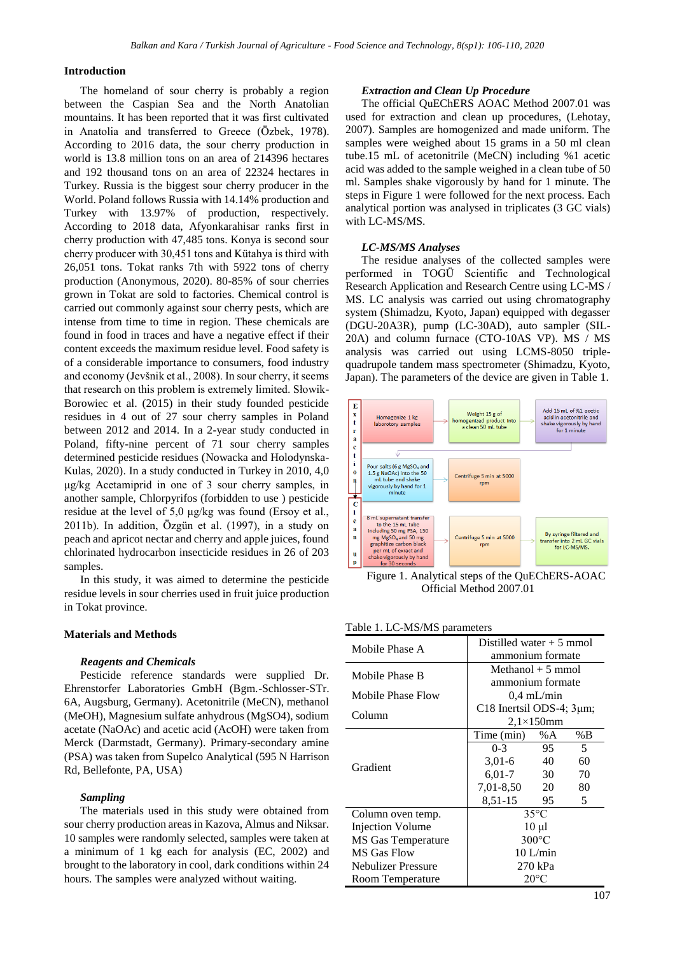### **Introduction**

The homeland of sour cherry is probably a region between the Caspian Sea and the North Anatolian mountains. It has been reported that it was first cultivated in Anatolia and transferred to Greece (Özbek, 1978). According to 2016 data, the sour cherry production in world is 13.8 million tons on an area of 214396 hectares and 192 thousand tons on an area of 22324 hectares in Turkey. Russia is the biggest sour cherry producer in the World. Poland follows Russia with 14.14% production and Turkey with 13.97% of production, respectively. According to 2018 data, Afyonkarahisar ranks first in cherry production with 47,485 tons. Konya is second sour cherry producer with 30,451 tons and Kütahya is third with 26,051 tons. Tokat ranks 7th with 5922 tons of cherry production (Anonymous, 2020). 80-85% of sour cherries grown in Tokat are sold to factories. Chemical control is carried out commonly against sour cherry pests, which are intense from time to time in region. These chemicals are found in food in traces and have a negative effect if their content exceeds the maximum residue level. Food safety is of a considerable importance to consumers, food industry and economy (Jevšnik et al., 2008). In sour cherry, it seems that research on this problem is extremely limited. Słowik-Borowiec et al. (2015) in their study founded pesticide residues in 4 out of 27 sour cherry samples in Poland between 2012 and 2014. In a 2-year study conducted in Poland, fifty-nine percent of 71 sour cherry samples determined pesticide residues (Nowacka and Holodynska-Kulas, 2020). In a study conducted in Turkey in 2010, 4,0 μg/kg Acetamiprid in one of 3 sour cherry samples, in another sample, Chlorpyrifos (forbidden to use ) pesticide residue at the level of 5,0 μg/kg was found (Ersoy et al., 2011b). In addition, Özgün et al. (1997), in a study on peach and apricot nectar and cherry and apple juices, found chlorinated hydrocarbon insecticide residues in 26 of 203 samples.

In this study, it was aimed to determine the pesticide residue levels in sour cherries used in fruit juice production in Tokat province.

#### **Materials and Methods**

#### *Reagents and Chemicals*

Pesticide reference standards were supplied Dr. Ehrenstorfer Laboratories GmbH (Bgm.-Schlosser-STr. 6A, Augsburg, Germany). Acetonitrile (MeCN), methanol (MeOH), Magnesium sulfate anhydrous (MgSO4), sodium acetate (NaOAc) and acetic acid (AcOH) were taken from Merck (Darmstadt, Germany). Primary-secondary amine (PSA) was taken from Supelco Analytical (595 N Harrison Rd, Bellefonte, PA, USA)

#### *Sampling*

The materials used in this study were obtained from sour cherry production areas in Kazova, Almus and Niksar. 10 samples were randomly selected, samples were taken at a minimum of 1 kg each for analysis (EC, 2002) and brought to the laboratory in cool, dark conditions within 24 hours. The samples were analyzed without waiting.

#### *Extraction and Clean Up Procedure*

The official QuEChERS AOAC Method 2007.01 was used for extraction and clean up procedures, (Lehotay, 2007). Samples are homogenized and made uniform. The samples were weighed about 15 grams in a 50 ml clean tube.15 mL of acetonitrile (MeCN) including %1 acetic acid was added to the sample weighed in a clean tube of 50 ml. Samples shake vigorously by hand for 1 minute. The steps in Figure 1 were followed for the next process. Each analytical portion was analysed in triplicates (3 GC vials) with LC-MS/MS.

#### *LC-MS/MS Analyses*

The residue analyses of the collected samples were performed in TOGÜ Scientific and Technological Research Application and Research Centre using LC-MS / MS. LC analysis was carried out using chromatography system (Shimadzu, Kyoto, Japan) equipped with degasser (DGU-20A3R), pump (LC-30AD), auto sampler (SIL-20A) and column furnace (CTO-10AS VP). MS / MS analysis was carried out using LCMS-8050 triplequadrupole tandem mass spectrometer (Shimadzu, Kyoto, Japan). The parameters of the device are given in Table 1.



Figure 1. Analytical steps of the QuEChERS-AOAC Official Method 2007.01

|  | Table 1. LC-MS/MS parameters |  |
|--|------------------------------|--|
|--|------------------------------|--|

| Mobile Phase A          | Distilled water $+5$ mmol      |       |    |  |  |
|-------------------------|--------------------------------|-------|----|--|--|
|                         | ammonium formate               |       |    |  |  |
| Mobile Phase B          | Methanol $+5$ mmol             |       |    |  |  |
|                         | ammonium formate               |       |    |  |  |
| Mobile Phase Flow       | $0.4 \text{ mL/min}$           |       |    |  |  |
|                         | C18 Inertsil ODS-4; $3\mu m$ ; |       |    |  |  |
| Column                  | $2,1\times150$ mm              |       |    |  |  |
|                         | Time (min)                     | % $A$ | %B |  |  |
|                         | $0 - 3$                        | 95    | 5  |  |  |
| Gradient                | $3,01-6$                       | 40    | 60 |  |  |
|                         | 6,01-7                         | 30    | 70 |  |  |
|                         | $7,01-8,50$ 20                 |       | 80 |  |  |
|                         | 8,51-15                        | 95    | 5  |  |  |
| Column oven temp.       | $35^{\circ}$ C                 |       |    |  |  |
| <b>Injection Volume</b> | $10 \mu l$                     |       |    |  |  |
| MS Gas Temperature      | $300^{\circ}$ C                |       |    |  |  |
| <b>MS Gas Flow</b>      | $10$ L/min                     |       |    |  |  |
| Nebulizer Pressure      | 270 kPa                        |       |    |  |  |
| Room Temperature        | $20^{\circ}$ C                 |       |    |  |  |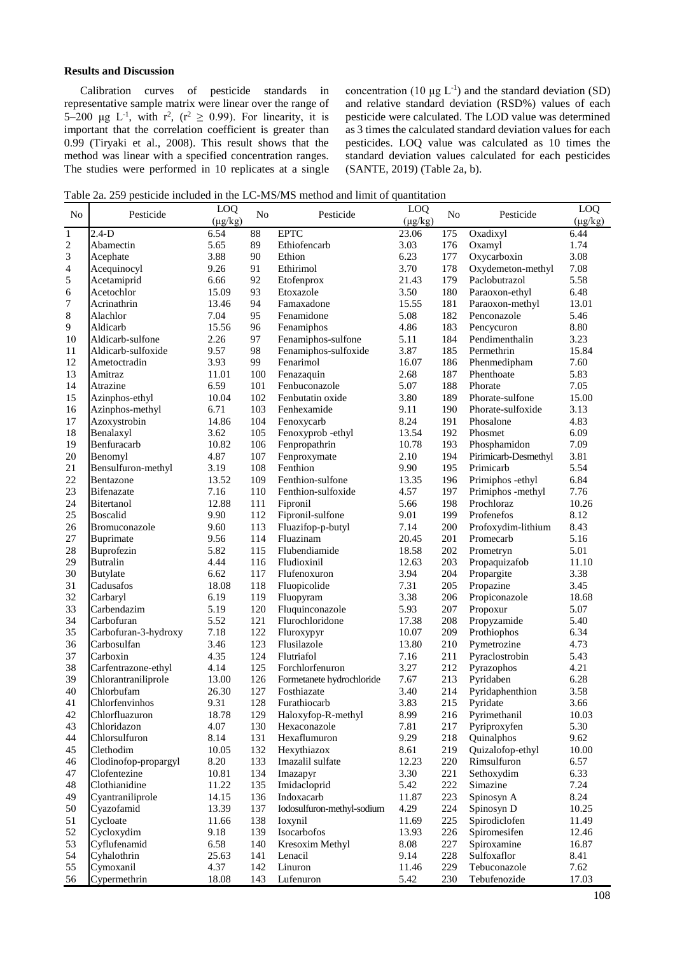### **Results and Discussion**

Calibration curves of pesticide standards in representative sample matrix were linear over the range of 5–200 µg L<sup>-1</sup>, with  $r^2$ ,  $(r^2 \ge 0.99)$ . For linearity, it is important that the correlation coefficient is greater than 0.99 (Tiryaki et al., 2008). This result shows that the method was linear with a specified concentration ranges. The studies were performed in 10 replicates at a single

concentration (10  $\mu$ g L<sup>-1</sup>) and the standard deviation (SD) and relative standard deviation (RSD%) values of each pesticide were calculated. The LOD value was determined as 3 times the calculated standard deviation values for each pesticides. LOQ value was calculated as 10 times the standard deviation values calculated for each pesticides (SANTE, 2019) (Table 2a, b).

Table 2a. 259 pesticide included in the LC-MS/MS method and limit of quantitation

| N <sub>0</sub> | Pesticide                     | LOQ<br>$(\mu g/kg)$ | N <sub>0</sub> | Pesticide                          | LOQ<br>$(\mu g/kg)$ | N <sub>0</sub> | Pesticide                    | LOQ<br>$(\mu g/kg)$ |
|----------------|-------------------------------|---------------------|----------------|------------------------------------|---------------------|----------------|------------------------------|---------------------|
| $\mathbf 1$    | $2.4-D$                       | 6.54                | 88             | <b>EPTC</b>                        | 23.06               | 175            | Oxadixyl                     | 6.44                |
| $\overline{c}$ | Abamectin                     | 5.65                | 89             | Ethiofencarb                       | 3.03                | 176            | Oxamyl                       | 1.74                |
| 3              | Acephate                      | 3.88                | 90             | Ethion                             | 6.23                | 177            | Oxycarboxin                  | 3.08                |
| 4              | Acequinocyl                   | 9.26                | 91             | Ethirimol                          | 3.70                | 178            | Oxydemeton-methyl            | 7.08                |
| 5              | Acetamiprid                   | 6.66                | 92             | Etofenprox                         | 21.43               | 179            | Paclobutrazol                | 5.58                |
| 6              | Acetochlor                    | 15.09               | 93             | Etoxazole                          | 3.50                | 180            | Paraoxon-ethyl               | 6.48                |
| 7              | Acrinathrin                   | 13.46               | 94             | Famaxadone                         | 15.55               | 181            | Paraoxon-methyl              | 13.01               |
| 8              | Alachlor                      | 7.04                | 95             | Fenamidone                         | 5.08                | 182            | Penconazole                  | 5.46                |
| 9              | Aldicarb                      | 15.56               | 96             | Fenamiphos                         | 4.86                | 183            | Pencycuron                   | 8.80                |
| 10             | Aldicarb-sulfone              | 2.26                | 97             | Fenamiphos-sulfone                 | 5.11                | 184            | Pendimenthalin               | 3.23                |
| 11             | Aldicarb-sulfoxide            | 9.57                | 98             | Fenamiphos-sulfoxide               | 3.87                | 185            | Permethrin                   | 15.84               |
| 12             | Ametoctradin                  | 3.93                | 99             | Fenarimol                          | 16.07               | 186            | Phenmedipham                 | 7.60                |
| 13             | Amitraz                       | 11.01               | 100            | Fenazaquin                         | 2.68                | 187            | Phenthoate                   | 5.83                |
| 14             | Atrazine                      | 6.59                | 101            | Fenbuconazole                      | 5.07                | 188            | Phorate                      | 7.05                |
| 15             | Azinphos-ethyl                | 10.04               | 102            | Fenbutatin oxide                   | 3.80                | 189            | Phorate-sulfone              | 15.00               |
| 16             | Azinphos-methyl               | 6.71                | 103            | Fenhexamide                        | 9.11                | 190            | Phorate-sulfoxide            | 3.13                |
| 17             | Azoxystrobin                  | 14.86               | 104            | Fenoxycarb                         | 8.24                | 191            | Phosalone                    | 4.83                |
| 18             | Benalaxyl                     | 3.62                | 105            | Fenoxyprob -ethyl                  | 13.54               | 192            | Phosmet                      | 6.09                |
| 19             | Benfuracarb                   | 10.82               | 106            | Fenpropathrin                      | 10.78               | 193            | Phosphamidon                 | 7.09                |
| 20             | Benomyl                       | 4.87                | 107            | Fenproxymate                       | 2.10                | 194            | Pirimicarb-Desmethyl         | 3.81                |
| 21             | Bensulfuron-methyl            | 3.19                | 108            | Fenthion                           | 9.90                | 195            | Primicarb                    | 5.54                |
| 22             | Bentazone                     | 13.52               | 109            | Fenthion-sulfone                   | 13.35               | 196            | Primiphos -ethyl             | 6.84                |
| 23             | Bifenazate                    | 7.16                | 110            | Fenthion-sulfoxide                 | 4.57                | 197            | Primiphos -methyl            | 7.76                |
| 24             | Bitertanol                    | 12.88               | 111            | Fipronil                           | 5.66                | 198            | Prochloraz                   | 10.26               |
| 25             | <b>Boscalid</b>               | 9.90                | 112            | Fipronil-sulfone                   | 9.01                | 199            | Profenefos                   | 8.12                |
| 26             | Bromuconazole                 | 9.60                | 113            | Fluazifop-p-butyl                  | 7.14                | 200            | Profoxydim-lithium           | 8.43                |
| 27             | Buprimate                     | 9.56                | 114            | Fluazinam                          | 20.45               | 201            | Promecarb                    | 5.16                |
| 28             | Buprofezin                    | 5.82                | 115            | Flubendiamide                      | 18.58               | 202            | Prometryn                    | 5.01                |
| 29             | <b>Butralin</b>               | 4.44                | 116            | Fludioxinil                        | 12.63               | 203            | Propaquizafob                | 11.10               |
| 30             | <b>Butylate</b>               | 6.62                | 117            | Flufenoxuron                       | 3.94                | 204            | Propargite                   | 3.38                |
| 31             | Cadusafos                     | 18.08               | 118            | Fluopicolide                       | 7.31                | 205            | Propazine                    | 3.45                |
| 32             | Carbaryl                      | 6.19                | 119            | Fluopyram                          | 3.38                | 206            | Propiconazole                | 18.68               |
| 33             | Carbendazim                   | 5.19                | 120            | Fluquinconazole                    | 5.93                | 207            | Propoxur                     | 5.07                |
| 34             | Carbofuran                    | 5.52                | 121            | Flurochloridone                    | 17.38               | 208            | Propyzamide                  | 5.40                |
| 35             | Carbofuran-3-hydroxy          | 7.18                | 122            | Fluroxypyr                         | 10.07               | 209            | Prothiophos                  | 6.34                |
| 36             | Carbosulfan                   | 3.46                | 123            | Flusilazole                        | 13.80               | 210            | Pymetrozine                  | 4.73                |
| 37             | Carboxin                      | 4.35                | 124            | Flutriafol                         | 7.16                | 211            | Pyraclostrobin               | 5.43                |
| 38             | Carfentrazone-ethyl           | 4.14                | 125            | Forchlorfenuron                    | 3.27                | 212            | Pyrazophos                   | 4.21                |
| 39             | Chlorantraniliprole           | 13.00               | 126            | Formetanete hydrochloride          | 7.67                | 213            | Pyridaben                    | 6.28                |
| 40             | Chlorbufam                    | 26.30               | 127            | Fosthiazate                        | 3.40                | 214            | Pyridaphenthion              | 3.58                |
| 41             | Chlorfenvinhos                | 9.31                | 128            | Furathiocarb                       | 3.83                | 215            | Pyridate                     | 3.66                |
| 42             | Chlorfluazuron<br>Chloridazon | 18.78<br>4.07       | 129            | Haloxyfop-R-methyl<br>Hexaconazole | 8.99<br>7.81        | 216<br>217     | Pyrimethanil<br>Pyriproxyfen | 10.03<br>5.30       |
| 43<br>44       | Chlorsulfuron                 | 8.14                | 130<br>131     | Hexaflumuron                       | 9.29                | 218            | Quinalphos                   | 9.62                |
| 45             | Clethodim                     | 10.05               | 132            | Hexythiazox                        | 8.61                | 219            | Quizalofop-ethyl             | 10.00               |
| 46             | Clodinofop-propargyl          | 8.20                | 133            | Imazalil sulfate                   | 12.23               | 220            | Rimsulfuron                  | 6.57                |
| 47             | Clofentezine                  | 10.81               | 134            | Imazapyr                           | 3.30                | 221            | Sethoxydim                   | 6.33                |
| 48             | Clothianidine                 | 11.22               | 135            | Imidacloprid                       | 5.42                | 222            | Simazine                     | 7.24                |
| 49             | Cyantraniliprole              | 14.15               | 136            | Indoxacarb                         | 11.87               | 223            | Spinosyn A                   | 8.24                |
| 50             | Cyazofamid                    | 13.39               | 137            | Iodosulfuron-methyl-sodium         | 4.29                | 224            | Spinosyn D                   | 10.25               |
| 51             | Cycloate                      | 11.66               | 138            | Ioxynil                            | 11.69               | 225            | Spirodiclofen                | 11.49               |
| 52             | Cycloxydim                    | 9.18                | 139            | Isocarbofos                        | 13.93               | 226            | Spiromesifen                 | 12.46               |
| 53             | Cyflufenamid                  | 6.58                | 140            | Kresoxim Methyl                    | 8.08                | 227            | Spiroxamine                  | 16.87               |
| 54             | Cyhalothrin                   | 25.63               | 141            | Lenacil                            | 9.14                | 228            | Sulfoxaflor                  | 8.41                |
| 55             | Cymoxanil                     | 4.37                | 142            | Linuron                            | 11.46               | 229            | Tebuconazole                 | 7.62                |
| 56             | Cypermethrin                  | 18.08               | 143            | Lufenuron                          | 5.42                | 230            | Tebufenozide                 | 17.03               |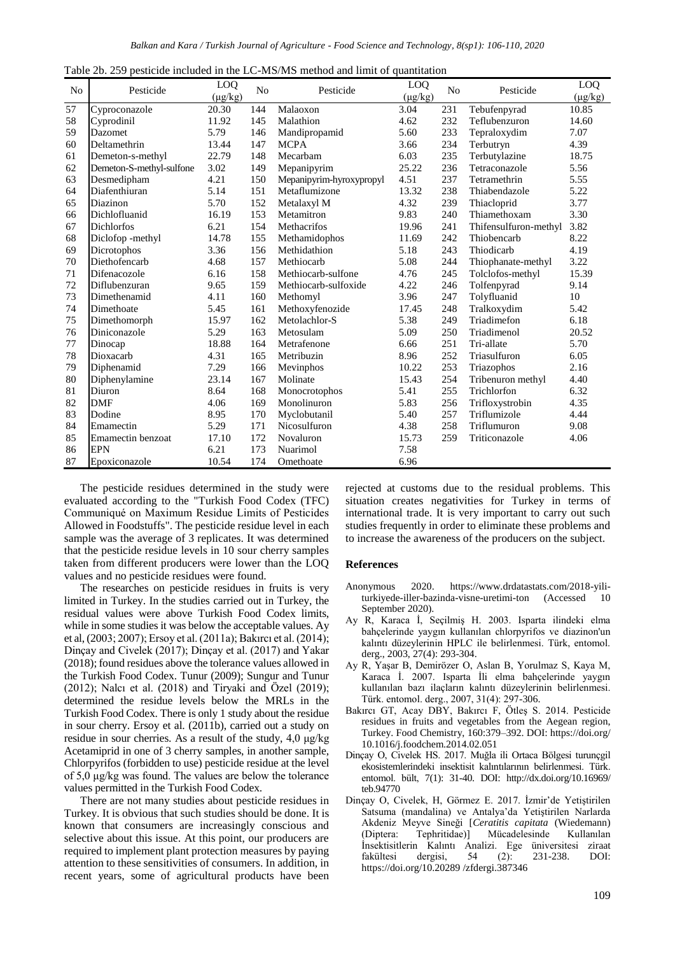| Table 2b, 259 pesticide included in the LC-MS/MS method and limit of quantitation |  |
|-----------------------------------------------------------------------------------|--|
|-----------------------------------------------------------------------------------|--|

| No | Pesticide                | LO <sub>O</sub><br>$(\mu g/kg)$ | N <sub>0</sub> | Pesticide                | LOO<br>$(\mu g/kg)$ | No  | Pesticide             | LO <sub>O</sub><br>$(\mu g/kg)$ |
|----|--------------------------|---------------------------------|----------------|--------------------------|---------------------|-----|-----------------------|---------------------------------|
| 57 | Cyproconazole            | 20.30                           | 144            | Malaoxon                 | 3.04                | 231 | Tebufenpyrad          | 10.85                           |
| 58 | Cyprodinil               | 11.92                           | 145            | Malathion                | 4.62                | 232 | Teflubenzuron         | 14.60                           |
| 59 | Dazomet                  | 5.79                            | 146            | Mandipropamid            | 5.60                | 233 | Tepraloxydim          | 7.07                            |
| 60 | Deltamethrin             | 13.44                           | 147            | <b>MCPA</b>              | 3.66                | 234 | Terbutryn             | 4.39                            |
| 61 | Demeton-s-methyl         | 22.79                           | 148            | Mecarbam                 | 6.03                | 235 | Terbutylazine         | 18.75                           |
| 62 | Demeton-S-methyl-sulfone | 3.02                            | 149            | Mepanipyrim              | 25.22               | 236 | Tetraconazole         | 5.56                            |
| 63 | Desmedipham              | 4.21                            | 150            | Mepanipyrim-hyroxypropyl | 4.51                | 237 | Tetramethrin          | 5.55                            |
| 64 | Diafenthiuran            | 5.14                            | 151            | Metaflumizone            | 13.32               | 238 | Thiabendazole         | 5.22                            |
| 65 | Diazinon                 | 5.70                            | 152            | Metalaxyl M              | 4.32                | 239 | Thiacloprid           | 3.77                            |
| 66 | Dichlofluanid            | 16.19                           | 153            | Metamitron               | 9.83                | 240 | Thiamethoxam          | 3.30                            |
| 67 | <b>Dichlorfos</b>        | 6.21                            | 154            | Methacrifos              | 19.96               | 241 | Thifensulfuron-methyl | 3.82                            |
| 68 | Diclofop -methyl         | 14.78                           | 155            | Methamidophos            | 11.69               | 242 | Thiobencarb           | 8.22                            |
| 69 | Dicrotophos              | 3.36                            | 156            | Methidathion             | 5.18                | 243 | Thiodicarb            | 4.19                            |
| 70 | Diethofencarb            | 4.68                            | 157            | Methiocarb               | 5.08                | 244 | Thiophanate-methyl    | 3.22                            |
| 71 | Difenacozole             | 6.16                            | 158            | Methiocarb-sulfone       | 4.76                | 245 | Tolclofos-methyl      | 15.39                           |
| 72 | Diflubenzuran            | 9.65                            | 159            | Methiocarb-sulfoxide     | 4.22                | 246 | Tolfenpyrad           | 9.14                            |
| 73 | Dimethenamid             | 4.11                            | 160            | Methomyl                 | 3.96                | 247 | Tolyfluanid           | 10                              |
| 74 | Dimethoate               | 5.45                            | 161            | Methoxyfenozide          | 17.45               | 248 | Tralkoxydim           | 5.42                            |
| 75 | Dimethomorph             | 15.97                           | 162            | Metolachlor-S            | 5.38                | 249 | Triadimefon           | 6.18                            |
| 76 | Diniconazole             | 5.29                            | 163            | Metosulam                | 5.09                | 250 | Triadimenol           | 20.52                           |
| 77 | Dinocap                  | 18.88                           | 164            | Metrafenone              | 6.66                | 251 | Tri-allate            | 5.70                            |
| 78 | Dioxacarb                | 4.31                            | 165            | Metribuzin               | 8.96                | 252 | Triasulfuron          | 6.05                            |
| 79 | Diphenamid               | 7.29                            | 166            | Mevinphos                | 10.22               | 253 | Triazophos            | 2.16                            |
| 80 | Diphenylamine            | 23.14                           | 167            | Molinate                 | 15.43               | 254 | Tribenuron methyl     | 4.40                            |
| 81 | Diuron                   | 8.64                            | 168            | Monocrotophos            | 5.41                | 255 | Trichlorfon           | 6.32                            |
| 82 | <b>DMF</b>               | 4.06                            | 169            | Monolinuron              | 5.83                | 256 | Trifloxystrobin       | 4.35                            |
| 83 | Dodine                   | 8.95                            | 170            | Myclobutanil             | 5.40                | 257 | Triflumizole          | 4.44                            |
| 84 | Emamectin                | 5.29                            | 171            | Nicosulfuron             | 4.38                | 258 | Triflumuron           | 9.08                            |
| 85 | Emamectin benzoat        | 17.10                           | 172            | Novaluron                | 15.73               | 259 | Triticonazole         | 4.06                            |
| 86 | <b>EPN</b>               | 6.21                            | 173            | Nuarimol                 | 7.58                |     |                       |                                 |
| 87 | Epoxiconazole            | 10.54                           | 174            | Omethoate                | 6.96                |     |                       |                                 |

The pesticide residues determined in the study were evaluated according to the "Turkish Food Codex (TFC) Communiqué on Maximum Residue Limits of Pesticides Allowed in Foodstuffs". The pesticide residue level in each sample was the average of 3 replicates. It was determined that the pesticide residue levels in 10 sour cherry samples taken from different producers were lower than the LOQ values and no pesticide residues were found.

The researches on pesticide residues in fruits is very limited in Turkey. In the studies carried out in Turkey, the residual values were above Turkish Food Codex limits, while in some studies it was below the acceptable values. Ay et al, (2003; 2007); Ersoy et al. (2011a); Bakırcı et al. (2014); Dinçay and Civelek (2017); Dinçay et al. (2017) and Yakar (2018); found residues above the tolerance values allowed in the Turkish Food Codex. Tunur (2009); Sungur and Tunur (2012); Nalcı et al. (2018) and Tiryaki and Özel (2019); determined the residue levels below the MRLs in the Turkish Food Codex. There is only 1 study about the residue in sour cherry. Ersoy et al. (2011b), carried out a study on residue in sour cherries. As a result of the study, 4,0 μg/kg Acetamiprid in one of 3 cherry samples, in another sample, Chlorpyrifos (forbidden to use) pesticide residue at the level of 5,0 μg/kg was found. The values are below the tolerance values permitted in the Turkish Food Codex.

There are not many studies about pesticide residues in Turkey. It is obvious that such studies should be done. It is known that consumers are increasingly conscious and selective about this issue. At this point, our producers are required to implement plant protection measures by paying attention to these sensitivities of consumers. In addition, in recent years, some of agricultural products have been rejected at customs due to the residual problems. This situation creates negativities for Turkey in terms of international trade. It is very important to carry out such studies frequently in order to eliminate these problems and to increase the awareness of the producers on the subject.

#### **References**

- Anonymous 2020. https://www.drdatastats.com/2018-yiliturkiyede-iller-bazinda-visne-uretimi-ton (Accessed September 2020).
- Ay R, Karaca İ, Seçilmiş H. 2003. Isparta ilindeki elma bahçelerinde yaygın kullanılan chlorpyrifos ve diazinon'un kalıntı düzeylerinin HPLC ile belirlenmesi. Türk, entomol. derg., 2003, 27(4): 293-304.
- Ay R, Yaşar B, Demirözer O, Aslan B, Yorulmaz S, Kaya M, Karaca İ. 2007. Isparta İli elma bahçelerinde yaygın kullanılan bazı ilaçların kalıntı düzeylerinin belirlenmesi. Türk. entomol. derg., 2007, 31(4): 297-306.
- Bakırcı GT, Acay DBY, Bakırcı F, Ötleş S. 2014. Pesticide residues in fruits and vegetables from the Aegean region, Turkey. Food Chemistry, 160:379–392. DOI: https://doi.org/ 10.1016/j.foodchem.2014.02.051
- Dinçay O, Civelek HS. 2017. Muğla ili Ortaca Bölgesi turunçgil ekosistemlerindeki insektisit kalıntılarının belirlenmesi. Türk. entomol. bült, 7(1): 31-40. DOI: http://dx.doi.org/10.16969/ teb.94770
- Dinçay O, Civelek, H, Görmez E. 2017. İzmir'de Yetiştirilen Satsuma (mandalina) ve Antalya'da Yetiştirilen Narlarda Akdeniz Meyve Sineği [*Ceratitis capitata* (Wiedemann) (Diptera: Tephritidae)] Mücadelesinde Kullanılan İnsektisitlerin Kalıntı Analizi. Ege üniversitesi ziraat fakültesi dergisi, 54 (2): 231-238. DOI: https://doi.org/10.20289 /zfdergi.387346